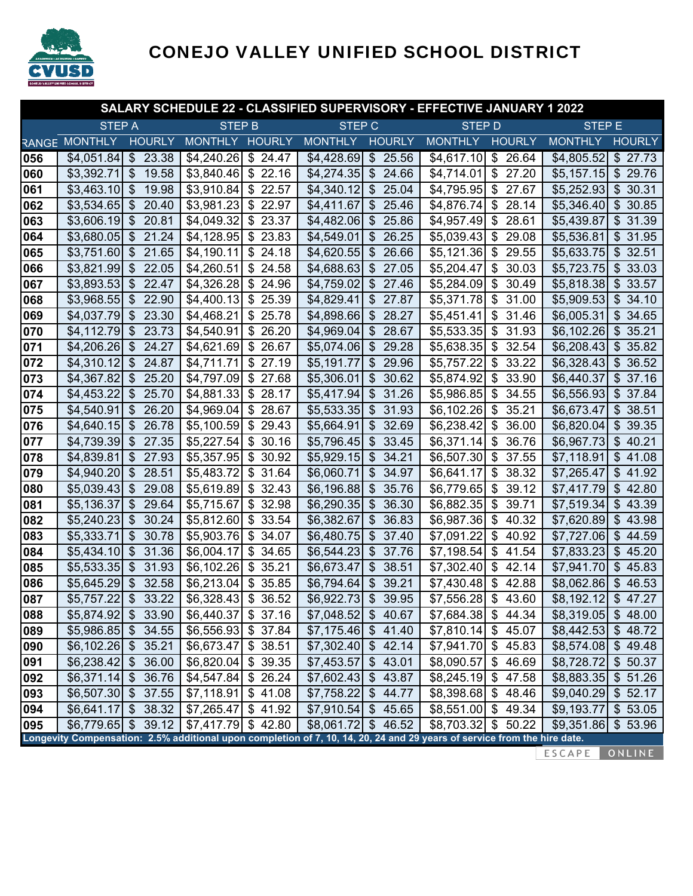

## CONEJO VALLEY UNIFIED SCHOOL DISTRICT

| SALARY SCHEDULE 22 - CLASSIFIED SUPERVISORY - EFFECTIVE JANUARY 1 2022 |                        |                        |                                                  |                                        |                                                                                                                          |                                     |
|------------------------------------------------------------------------|------------------------|------------------------|--------------------------------------------------|----------------------------------------|--------------------------------------------------------------------------------------------------------------------------|-------------------------------------|
|                                                                        | <b>STEP A</b>          |                        | <b>STEP B</b>                                    | STEP <sub>C</sub>                      | <b>STEP D</b>                                                                                                            | <b>STEP E</b>                       |
|                                                                        | RANGE MONTHLY          | <b>HOURLY</b>          | MONTHLY HOURLY                                   | <b>MONTHLY</b><br><b>HOURLY</b>        | <b>MONTHLY</b><br><b>HOURLY</b>                                                                                          | <b>MONTHLY</b><br><b>HOURLY</b>     |
| 056                                                                    | \$4,051.84]            | \$23.38                | $$4,240.26$ $$24.47$                             | \$4,428.69<br>\$25.56                  | \$26.64<br>\$4,617.10                                                                                                    | \$27.73<br>\$4,805.52               |
| 060                                                                    | \$3,392.71             | \$19.58                | \$22.16<br>\$3,840.46                            | \$4,274.35<br>\$24.66                  | \$27.20<br>\$4,714.01                                                                                                    | \$29.76<br>\$5,157.15               |
| 061                                                                    | \$3,463.10             | \$19.98                | \$22.57<br>\$3,910.84]                           | $$4,340.12$ $$25.04$                   | \$27.67<br>\$4,795.95                                                                                                    | \$30.31<br>\$5,252.93               |
| 062                                                                    | \$3,534.65             | \$20.40                | $$3,981.23$ \$22.97                              | \$25.46<br>\$4,411.67                  | \$28.14<br>\$4,876.74                                                                                                    | \$5,346.40<br>\$30.85               |
| 063                                                                    | \$3,606.19             | \$20.81                | \$23.37<br>\$4,049.32                            | \$4,482.06<br>\$25.86                  | \$28.61<br>\$4,957.49                                                                                                    | \$31.39<br>\$5,439.87               |
| 064                                                                    | \$3,680.05             | \$21.24                | \$23.83<br>\$4,128.95                            | \$4,549.01<br>\$26.25                  | \$29.08<br>\$5,039.43                                                                                                    | \$5,536.81<br>\$31.95               |
| 065                                                                    | \$3,751.60             | \$21.65                | \$4,190.11<br>\$24.18                            | \$26.66<br>\$4,620.55                  | \$29.55<br>\$5,121.36                                                                                                    | \$32.51<br>\$5,633.75               |
| 066                                                                    | \$3,821.99             | \$22.05                | \$24.58<br>\$4,260.51                            | \$27.05<br>\$4,688.63                  | \$30.03<br>\$5,204.47                                                                                                    | \$33.03<br>\$5,723.75               |
| 067                                                                    | \$3,893.53             | \$22.47                | \$24.96<br>\$4,326.28                            | \$4,759.02<br>\$27.46                  | 30.49<br>\$5,284.09<br>$\mathfrak{S}$                                                                                    | \$33.57<br>\$5,818.38               |
| 068                                                                    | $$3,968.55$ \\$ 22.90  |                        | $$4,400.13$ $$25.39$                             | \$27.87<br>\$4,829.41                  | \$31.00<br>\$5,371.78                                                                                                    | \$34.10<br>\$5,909.53               |
| 069                                                                    | \$4,037.79             | \$23.30                | \$25.78<br>\$4,468.21                            | \$28.27<br>\$4,898.66                  | \$31.46<br>\$5,451.41                                                                                                    | \$34.65<br>\$6,005.31               |
| 070                                                                    | \$4,112.79             | \$23.73                | \$26.20<br>\$4,540.91                            | \$4,969.04]<br>28.67<br>$\frac{1}{2}$  | \$31.93<br>\$5,533.35                                                                                                    | \$35.21<br>\$6,102.26               |
| 071                                                                    | \$4,206.26             | \$24.27                | \$26.67<br>\$4,621.69                            | \$29.28<br>\$5,074.06                  | \$32.54<br>\$5,638.35                                                                                                    | \$6,208.43<br>\$35.82               |
| 072                                                                    | \$4,310.12]            | \$24.87                | \$27.19<br>\$4,711.71                            | \$5,191.77<br>$\frac{1}{2}$<br>29.96   | 33.22<br>$\mathfrak{S}$<br>\$5,757.22                                                                                    | \$36.52<br>\$6,328.43               |
| 073                                                                    | \$4,367.82             | \$25.20                | \$27.68<br>\$4,797.09                            | \$30.62<br>\$5,306.01                  | \$33.90<br>\$5,874.92                                                                                                    | \$37.16<br>\$6,440.37               |
| 074                                                                    | \$4,453.22             | \$25.70                | $$4,881.33$ $$28.17$                             | \$31.26<br>\$5,417.94                  | \$34.55<br>\$5,986.85                                                                                                    | \$37.84<br>\$6,556.93               |
| 075                                                                    | \$4,540.91             | \$26.20                | \$28.67<br>\$4,969.04                            | 31.93<br>\$5,533.35<br>$\frac{1}{2}$   | $\mathfrak{S}$<br>35.21<br>\$6,102.26                                                                                    | \$38.51<br>\$6,673.47               |
| 076                                                                    | \$4,640.15             | \$26.78                | \$29.43<br>\$5,100.59                            | \$32.69<br>\$5,664.91                  | \$36.00<br>\$6,238.42                                                                                                    | \$39.35<br>\$6,820.04               |
| 077                                                                    | \$4,739.39             | \$27.35                | \$30.16<br>\$5,227.54                            | \$5,796.45<br>\$33.45                  | \$6,371.14<br>\$36.76                                                                                                    | \$40.21<br>\$6,967.73               |
| 078                                                                    | \$4,839.81             | \$27.93                | 30.92<br>$\boldsymbol{\mathsf{S}}$<br>\$5,357.95 | 34.21<br>\$5,929.15<br>$\sqrt[6]{2}$   | \$<br>37.55<br>\$6,507.30                                                                                                | \$41.08<br>\$7,118.91               |
| 079                                                                    | \$4,940.20             | \$28.51                | \$31.64<br>\$5,483.72                            | \$34.97<br>\$6,060.71]                 | 38.32<br>\$6,641.17<br>$\mathfrak s$                                                                                     | \$41.92<br>\$7,265.47               |
| 080                                                                    | \$5,039.43             | \$29.08                | $$5,619.89$ \$ 32.43                             | \$6,196.88<br>\$35.76                  | 39.12<br>\$6,779.65<br>$\mathfrak s$                                                                                     | \$7,417.79<br>\$42.80               |
| 081                                                                    | \$5,136.37             | \$29.64                | 32.98<br>\$5,715.67<br>\$                        | $$6,290.35$ \$<br>36.30                | 39.71<br>\$6,882.35<br>\$                                                                                                | \$43.39<br>\$7,519.34               |
| 082                                                                    | \$5,240.23             | \$30.24                | \$33.54<br>\$5,812.60                            | \$36.83<br>\$6,382.67                  | \$40.32<br>\$6,987.36                                                                                                    | \$43.98<br>\$7,620.89               |
| 083                                                                    | \$5,333.71             | $\frac{1}{2}$<br>30.78 | \$34.07<br>\$5,903.76                            | \$6,480.75<br>$\sqrt[6]{2}$<br>37.40   | $\frac{1}{2}$<br>40.92<br>\$7,091.22                                                                                     | \$44.59<br>\$7,727.06               |
| 084                                                                    | \$5,434.10             | \$31.36                | \$34.65<br>\$6,004.17                            | 37.76<br>\$6,544.23<br>$\sqrt[6]{2}$   | \$41.54<br>\$7,198.54                                                                                                    | \$45.20<br>\$7,833.23               |
| 085                                                                    | \$5,533.35             | \$31.93                | \$35.21<br>\$6,102.26                            | \$6,673.47<br>\$38.51                  | \$42.14<br>\$7,302.40                                                                                                    | \$45.83<br>\$7,941.70               |
| 086                                                                    | \$5,645.29             | \$32.58                | \$35.85<br>\$6,213.04                            | $\mathfrak{S}$<br>39.21<br>\$6,794.64] | \$7,430.48<br>\$42.88                                                                                                    | \$46.53<br>\$8,062.86               |
| 087                                                                    | \$5,757.22             | \$33.22                | $$6,328.43$ $$36.52$                             | \$6,922.73<br>\$39.95                  | \$7,556.28<br>\$43.60                                                                                                    | $\overline{\$}$ 47.27<br>\$8,192.12 |
| 088                                                                    | $$5,874.92$ \ $$33.90$ |                        | $$6,440.37$ \$ 37.16                             | \$7,048.52<br>\$40.67                  | $$7,684.38$ \ \$ 44.34                                                                                                   | \$8,319.05<br>\$48.00               |
| 089                                                                    | $$5,986.85$ \$ 34.55   |                        | \$37.84<br>\$6,556.93                            | $$7,175.46$ \ \$ 41.40                 | $$7,810.14$ \$45.07                                                                                                      | \$8,442.53<br>\$48.72               |
| 090                                                                    | $$6,102.26$ \$ 35.21   |                        | $$6,673.47$ \$ 38.51                             | $$7,302.40$ $$42.14$                   | $$7,941.70$ \$45.83                                                                                                      | $$8,574.08$ \$49.48                 |
| 091                                                                    | $$6,238.42$ \$ 36.00   |                        | $$6,820.04$ \$ 39.35                             | \$7,453.57<br>\$43.01                  | $$8,090.57$ \$46.69                                                                                                      | \$8,728.72<br>\$50.37               |
| 092                                                                    | $$6,371.14$ \$ 36.76   |                        | \$26.24<br>\$4,547.84                            | $$7,602.43$ \$43.87                    | $$8,245.19$ \\$ 47.58                                                                                                    | \$8,883.35<br>\$51.26               |
| 093                                                                    | $$6,507.30$ $$37.55$   |                        | \$7,118.91<br>\$41.08                            | \$7,758.22<br>\$44.77                  | $$8,398.68$ \ \$ 48.46                                                                                                   | \$9,040.29<br>\$52.17               |
| 094                                                                    | $$6,641.17$ \$ 38.32   |                        | \$41.92<br>\$7,265.47                            | $$7,910.54$ \$45.65                    | $$8,551.00$ \ \$ 49.34                                                                                                   | \$53.05<br>\$9,193.77               |
| 095                                                                    | $$6,779.65$ \$ 39.12   |                        | $$7,417.79$ \$42.80                              | 46.52                                  | \$8,703.32<br>50.22<br>$\$\$                                                                                             | \$53.96<br>\$9,351.86               |
|                                                                        |                        |                        |                                                  |                                        | Longevity Compensation: 2.5% additional upon completion of 7, 10, 14, 20, 24 and 29 years of service from the hire date. |                                     |

ESCAPE ONLINE